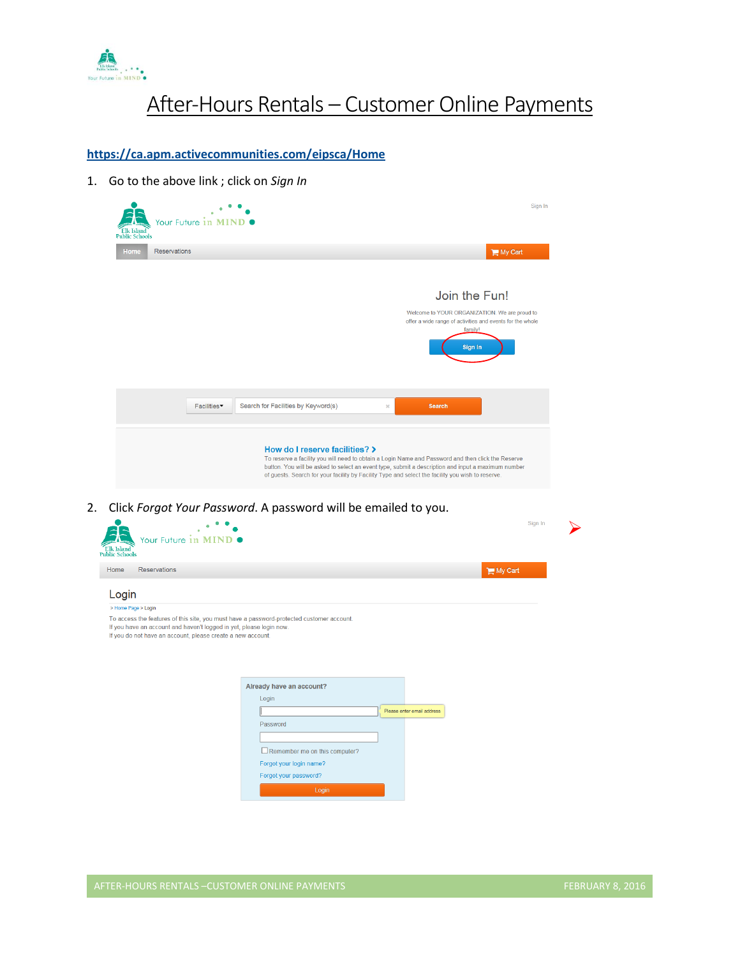

# After-Hours Rentals – Customer Online Payments

**<https://ca.apm.activecommunities.com/eipsca/Home>**

1. Go to the above link ; click on *Sign In*

| <b>Elk Island</b><br><b>Public Schools</b> | Your Future in MIND           | Sign In                                                                                                                                                                                                                                                                                                                                         |  |
|--------------------------------------------|-------------------------------|-------------------------------------------------------------------------------------------------------------------------------------------------------------------------------------------------------------------------------------------------------------------------------------------------------------------------------------------------|--|
| <b>Home</b>                                | <b>Reservations</b>           | My Cart                                                                                                                                                                                                                                                                                                                                         |  |
|                                            |                               | Join the Fun!                                                                                                                                                                                                                                                                                                                                   |  |
|                                            |                               | Welcome to YOUR ORGANIZATION. We are proud to<br>offer a wide range of activities and events for the whole<br>family!                                                                                                                                                                                                                           |  |
|                                            |                               | Sign In                                                                                                                                                                                                                                                                                                                                         |  |
|                                            |                               |                                                                                                                                                                                                                                                                                                                                                 |  |
|                                            | Facilities <sup>-</sup>       | Search for Facilities by Keyword(s)<br><b>Search</b><br>$\mathbb{M}$                                                                                                                                                                                                                                                                            |  |
|                                            |                               | How do I reserve facilities? ><br>To reserve a facility you will need to obtain a Login Name and Password and then click the Reserve<br>button. You will be asked to select an event type, submit a description and input a maximum number<br>of guests. Search for your facility by Facility Type and select the facility you wish to reserve. |  |
| 2.                                         |                               | Click Forgot Your Password. A password will be emailed to you.<br>Sign In                                                                                                                                                                                                                                                                       |  |
| Elk Island<br><b>Public Schools</b>        | Your Future in MIND $\bullet$ |                                                                                                                                                                                                                                                                                                                                                 |  |
| Home<br><b>Reservations</b>                |                               | My Cart                                                                                                                                                                                                                                                                                                                                         |  |
| Login                                      |                               |                                                                                                                                                                                                                                                                                                                                                 |  |

### > Home Page > Login

To access the features of this site, you must have a password-protected customer account. If you have an account and haven't logged in yet, please login now.<br>If you do not have an account, please create a new account.

| Already have an account?             |                            |
|--------------------------------------|----------------------------|
| Login                                |                            |
|                                      | Please enter email address |
| Password                             |                            |
|                                      |                            |
| $\Box$ Remember me on this computer? |                            |
| Forgot your login name?              |                            |
| Forgot your password?                |                            |
| Login                                |                            |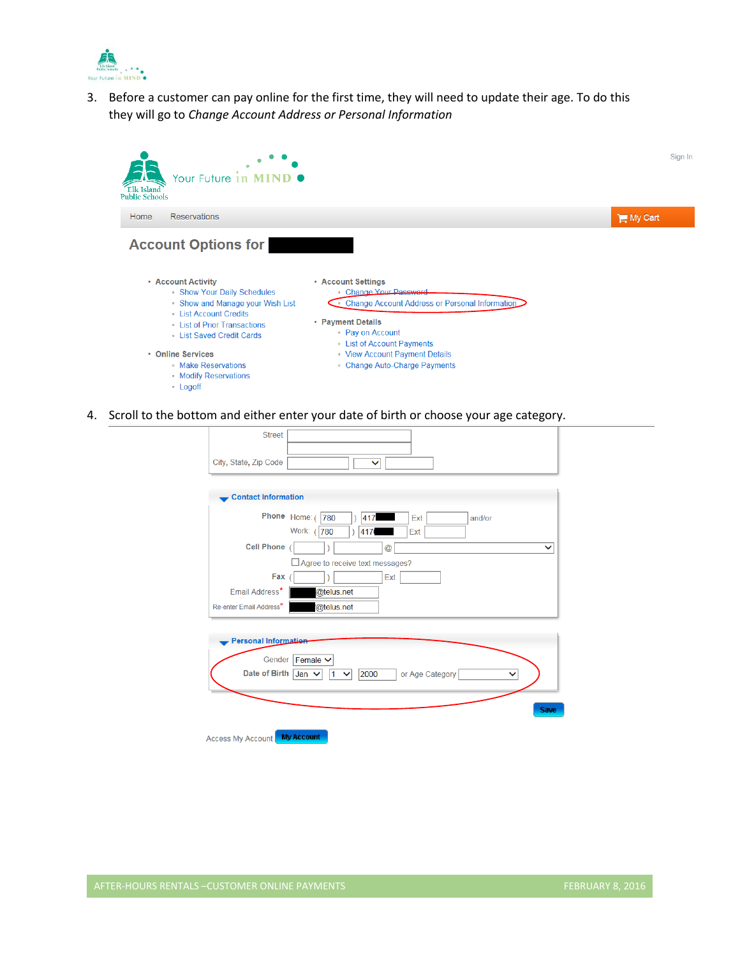

3. Before a customer can pay online for the first time, they will need to update their age. To do this they will go to *Change Account Address or Personal Information*



4. Scroll to the bottom and either enter your date of birth or choose your age category.

| <b>Street</b>                                               |              |
|-------------------------------------------------------------|--------------|
| City, State, Zip Code<br>$\checkmark$                       |              |
| <b>Contact Information</b>                                  |              |
| Phone Home: (<br>780<br>417<br>Ext<br>and/or                |              |
| Work: (780<br>Ext<br>417                                    |              |
| <b>Cell Phone</b><br>@                                      | $\checkmark$ |
| Agree to receive text messages?                             |              |
| Fax<br>Ext                                                  |              |
| Email Address <sup>*</sup><br>@telus.net                    |              |
| @telus.net<br>Re-enter Email Address*                       |              |
|                                                             |              |
| <b>Personal Information</b>                                 |              |
| Gender<br>Female $\vee$                                     |              |
| <b>Date of Birth</b><br>Jan<br>2000<br>or Age Category<br>1 |              |
|                                                             | <b>Save</b>  |
|                                                             |              |
| <b>My Account</b><br><b>Access My Account</b>               |              |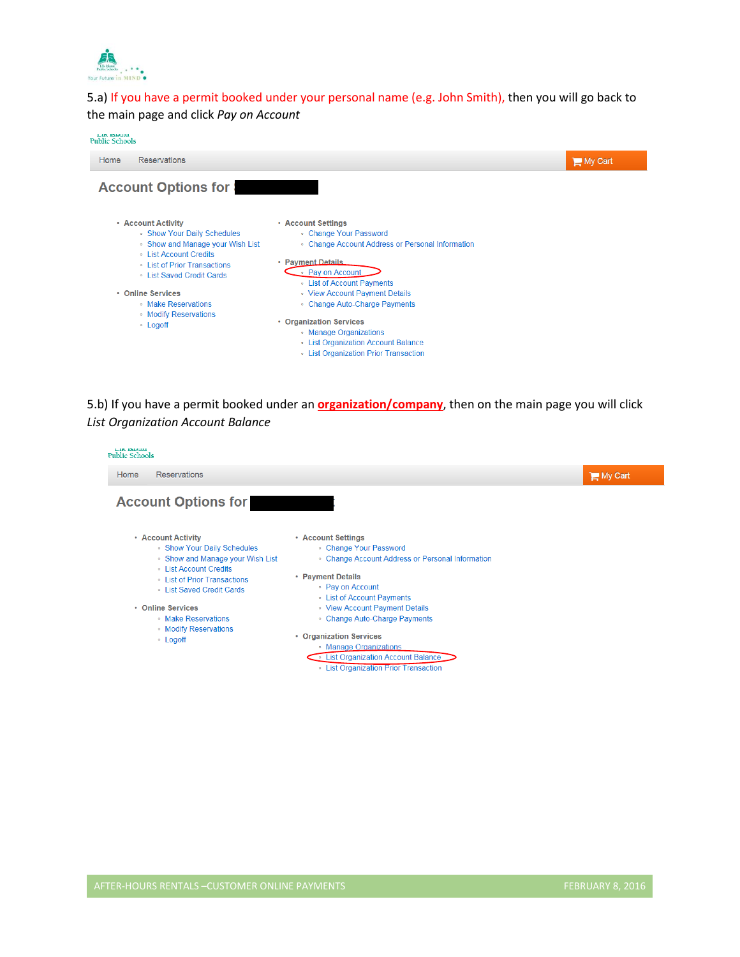

5.a) If you have a permit booked under your personal name (e.g. John Smith), then you will go back to the main page and click *Pay on Account*



5.b) If you have a permit booked under an **organization/company**, then on the main page you will click *List Organization Account Balance*

| <b>Reservations</b><br>Home                                     |                                                   | My Cart |
|-----------------------------------------------------------------|---------------------------------------------------|---------|
| <b>Account Options for</b>                                      |                                                   |         |
| • Account Activity                                              | • Account Settings                                |         |
| • Show Your Daily Schedules                                     | • Change Your Password                            |         |
| • Show and Manage your Wish List<br><b>Eist Account Credits</b> | • Change Account Address or Personal Information  |         |
| <b>Exercise Entiry Contracts EXECUTE: CONTRACTS</b>             | • Payment Details                                 |         |
| <b>Eist Saved Credit Cards</b>                                  | • Pay on Account                                  |         |
|                                                                 | <b>Example 1</b> List of Account Payments         |         |
| • Online Services                                               | • View Account Payment Details                    |         |
| • Make Reservations                                             | • Change Auto-Charge Payments                     |         |
| • Modify Reservations<br>• Logoff                               | • Organization Services                           |         |
|                                                                 | • Manage Organizations                            |         |
|                                                                 | <b>Exercise List Organization Account Balance</b> |         |
|                                                                 | <b>Execution</b> Extends List Organization        |         |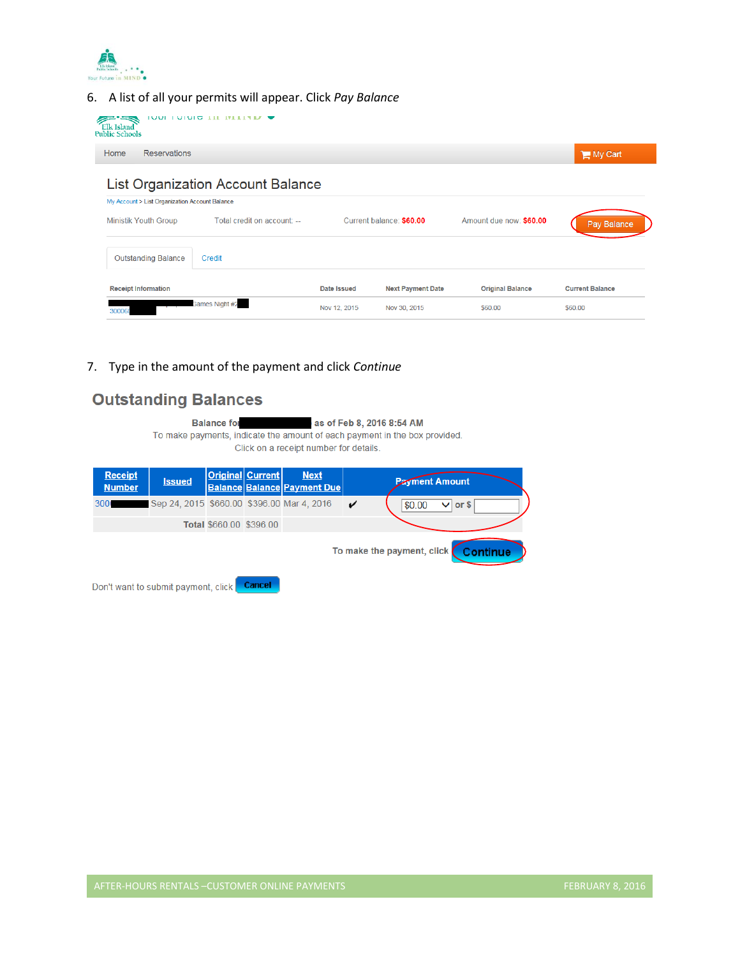

6. A list of all your permits will appear. Click *Pay Balance*

| <b>Elk Island</b><br><b>Public Schools</b>     | <b>TA FILITY III DUDIT OF THE T</b>      |              |                          |                         |                        |
|------------------------------------------------|------------------------------------------|--------------|--------------------------|-------------------------|------------------------|
| <b>Reservations</b><br>Home                    |                                          |              |                          |                         | My Cart                |
| My Account > List Organization Account Balance | <b>List Organization Account Balance</b> |              |                          |                         |                        |
| <b>Ministik Youth Group</b>                    | Total credit on account: --              |              | Current balance: \$60.00 | Amount due now: \$60.00 | Pay Balance            |
| <b>Outstanding Balance</b>                     | Credit                                   |              |                          |                         |                        |
| <b>Receipt Information</b>                     |                                          | Date Issued  | <b>Next Payment Date</b> | <b>Original Balance</b> | <b>Current Balance</b> |
| 300060                                         | <b>Bames Night #2</b>                    | Nov 12, 2015 | Nov 30, 2015             | \$60.00                 | \$60.00                |

7. Type in the amount of the payment and click *Continue*

## **Outstanding Balances**

**Balance for** as of Feb 8, 2016 8:54 AM To make payments, indicate the amount of each payment in the box provided. Click on a receipt number for details.

| <b>Receipt</b><br><b>Number</b>     | <b>Issued</b>                              |                         | <b>Original Current</b> | <b>Next</b><br><b>Balance Balance Payment Due</b> |  | <b>Payment Amount</b>  |
|-------------------------------------|--------------------------------------------|-------------------------|-------------------------|---------------------------------------------------|--|------------------------|
| 300 <sub>1</sub>                    | Sep 24, 2015 \$660.00 \$396.00 Mar 4, 2016 |                         |                         |                                                   |  | $\vee$ or \$<br>\$0.00 |
|                                     |                                            | Total \$660.00 \$396.00 |                         |                                                   |  |                        |
| To make the payment, click Continue |                                            |                         |                         |                                                   |  |                        |

Don't want to submit payment, click **Cancel**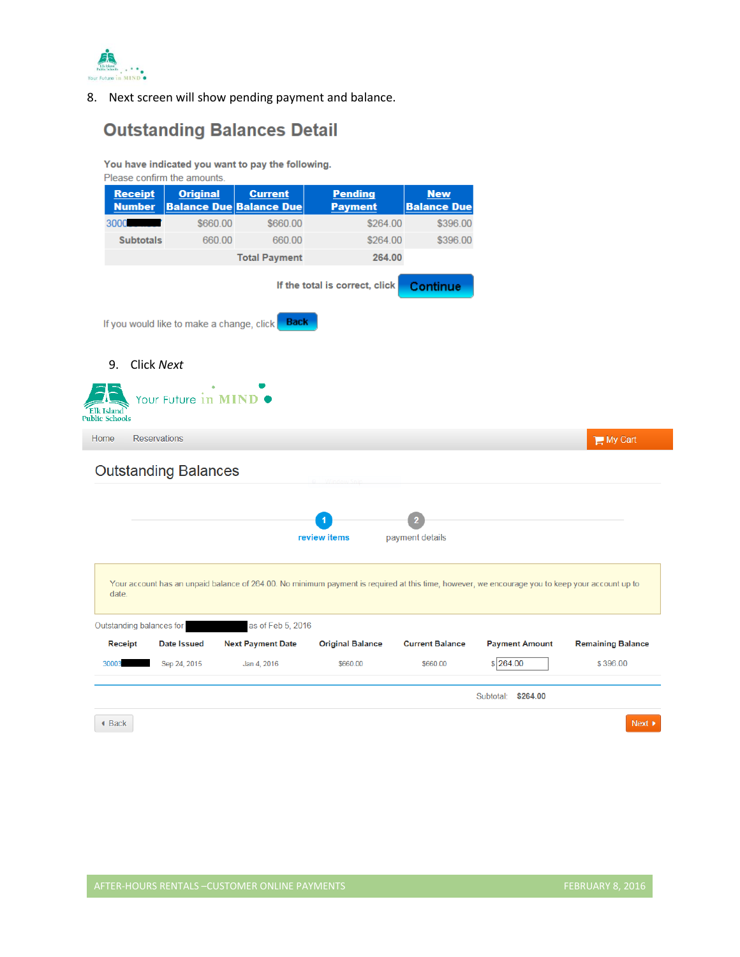

8. Next screen will show pending payment and balance.

# **Outstanding Balances Detail**

You have indicated you want to pay the following.

|                                           | Please confirm the amounts.                 |                                                                                                                                                                      |                                  |                                  |                       |                          |
|-------------------------------------------|---------------------------------------------|----------------------------------------------------------------------------------------------------------------------------------------------------------------------|----------------------------------|----------------------------------|-----------------------|--------------------------|
| <b>Receipt</b><br><b>Number</b>           | <b>Original</b>                             | <b>Current</b><br><b>Balance Due Balance Due</b>                                                                                                                     | <b>Pending</b><br><b>Payment</b> | <b>New</b><br><b>Balance Due</b> |                       |                          |
| 3000                                      | \$660.00                                    | \$660.00                                                                                                                                                             | \$264.00                         | \$396.00                         |                       |                          |
| <b>Subtotals</b>                          | 660.00                                      | 660.00                                                                                                                                                               | \$264.00                         | \$396.00                         |                       |                          |
|                                           |                                             | <b>Total Payment</b>                                                                                                                                                 | 264.00                           |                                  |                       |                          |
|                                           | If you would like to make a change, click   | <b>Back</b>                                                                                                                                                          | If the total is correct, click   | <b>Continue</b>                  |                       |                          |
| 9.<br>Elk Island<br><b>Public Schools</b> | Click Next<br>Your Future in MIND $\bullet$ |                                                                                                                                                                      |                                  |                                  |                       |                          |
| Home                                      | <b>Reservations</b>                         |                                                                                                                                                                      |                                  |                                  |                       | My Cart                  |
|                                           | <b>Outstanding Balances</b>                 |                                                                                                                                                                      | review items                     | payment details                  |                       |                          |
| date.<br>Outstanding balances for         |                                             | Your account has an unpaid balance of 264.00. No minimum payment is required at this time, however, we encourage you to keep your account up to<br>as of Feb 5, 2016 |                                  |                                  |                       |                          |
| <b>Receipt</b>                            | Date Issued                                 | <b>Next Payment Date</b>                                                                                                                                             | <b>Original Balance</b>          | <b>Current Balance</b>           | <b>Payment Amount</b> | <b>Remaining Balance</b> |
| 30003                                     | Sep 24, 2015                                | Jan 4, 2016                                                                                                                                                          | \$660.00                         | \$660.00                         | \$264.00              | \$396.00                 |
|                                           |                                             |                                                                                                                                                                      |                                  |                                  |                       |                          |
|                                           |                                             |                                                                                                                                                                      |                                  |                                  | Subtotal: \$264.00    |                          |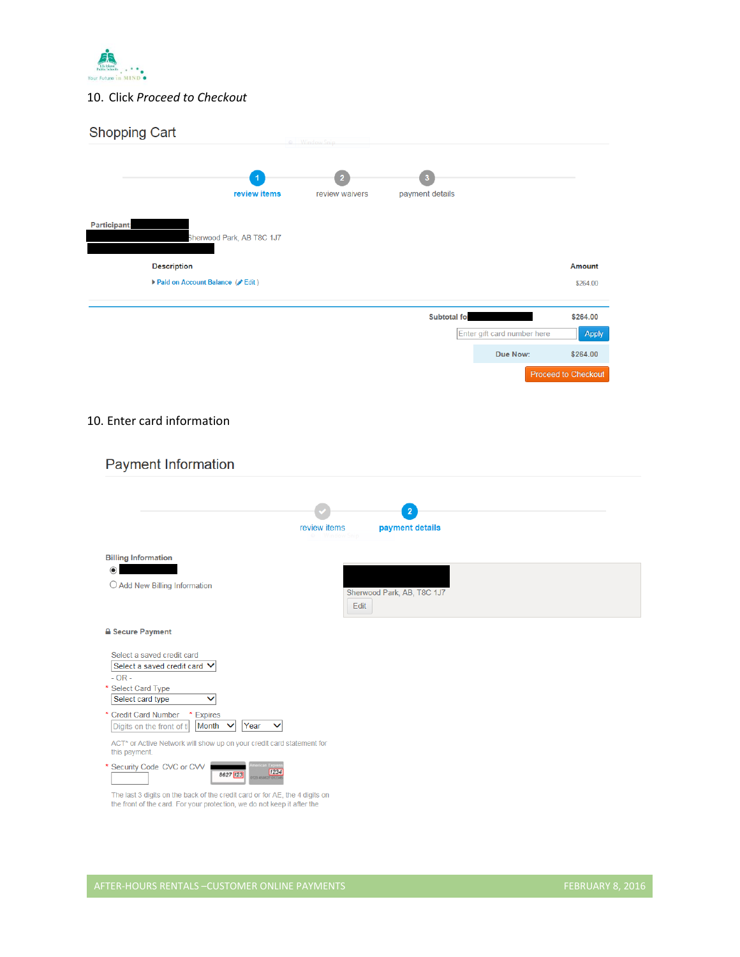

#### 10. Click *Proceed to Checkout*

| <b>Shopping Cart</b>                             |                |                            |                             |                     |
|--------------------------------------------------|----------------|----------------------------|-----------------------------|---------------------|
|                                                  |                |                            |                             |                     |
| review items                                     | review waivers | payment details            |                             |                     |
| <b>Participant:</b><br>Sherwood Park, AB T8C 1J7 |                |                            |                             |                     |
| <b>Description</b>                               |                |                            |                             | <b>Amount</b>       |
| Paid on Account Balance ( Edit)                  |                |                            |                             | \$264.00            |
|                                                  |                | Subtotal for               |                             | \$264.00            |
|                                                  |                |                            | Enter gift card number here | <b>Apply</b>        |
|                                                  |                |                            | Due Now:                    | \$264.00            |
|                                                  |                |                            |                             | Proceed to Checkout |
|                                                  |                |                            |                             |                     |
| 10. Enter card information                       |                |                            |                             |                     |
| <b>Payment Information</b>                       |                |                            |                             |                     |
|                                                  |                |                            |                             |                     |
|                                                  | review items   | payment details            |                             |                     |
| <b>Billing Information</b>                       |                |                            |                             |                     |
| $\odot$<br>O Add New Billing Information         |                | Sherwood Park, AB, T8C 1J7 |                             |                     |
|                                                  | Edit           |                            |                             |                     |